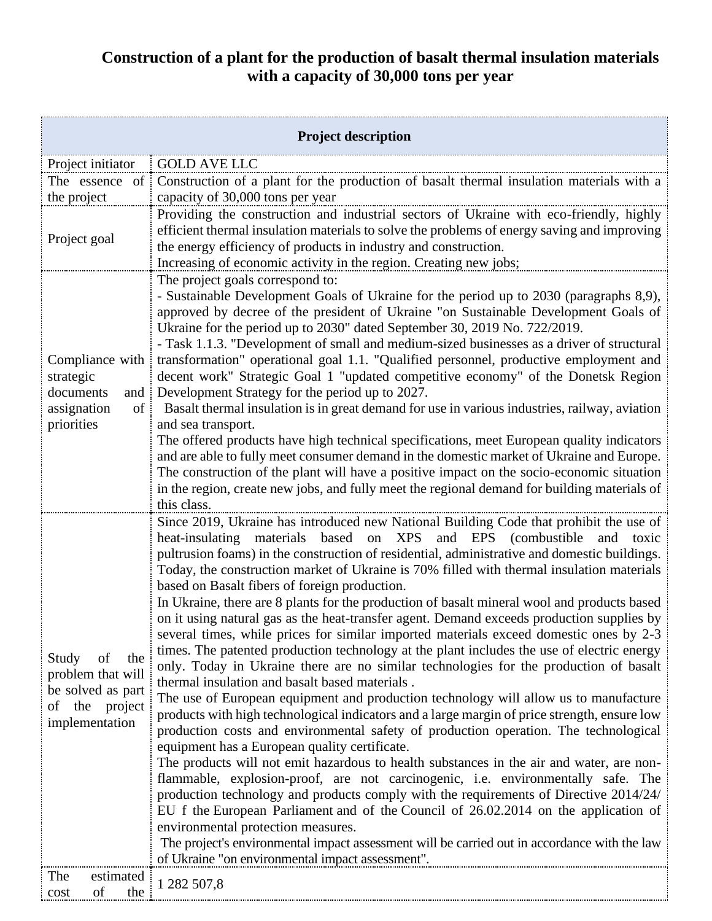## **Construction of a plant for the production of basalt thermal insulation materials with a capacity of 30,000 tons per year**

| <b>Project description</b>                                                                          |                                                                                                                                                                                                                                                                                                                                                                                                                                                                                                                                                                                                                                                                                                                                                                                                                                                                                                                                                                                                                                                                                                                                                                                                                                                                                                                                                                                                                                                                                                                                                                                                                                                                                                                                                                                                                                                     |  |
|-----------------------------------------------------------------------------------------------------|-----------------------------------------------------------------------------------------------------------------------------------------------------------------------------------------------------------------------------------------------------------------------------------------------------------------------------------------------------------------------------------------------------------------------------------------------------------------------------------------------------------------------------------------------------------------------------------------------------------------------------------------------------------------------------------------------------------------------------------------------------------------------------------------------------------------------------------------------------------------------------------------------------------------------------------------------------------------------------------------------------------------------------------------------------------------------------------------------------------------------------------------------------------------------------------------------------------------------------------------------------------------------------------------------------------------------------------------------------------------------------------------------------------------------------------------------------------------------------------------------------------------------------------------------------------------------------------------------------------------------------------------------------------------------------------------------------------------------------------------------------------------------------------------------------------------------------------------------------|--|
| Project initiator                                                                                   | <b>GOLD AVE LLC</b>                                                                                                                                                                                                                                                                                                                                                                                                                                                                                                                                                                                                                                                                                                                                                                                                                                                                                                                                                                                                                                                                                                                                                                                                                                                                                                                                                                                                                                                                                                                                                                                                                                                                                                                                                                                                                                 |  |
| The essence of<br>the project                                                                       | Construction of a plant for the production of basalt thermal insulation materials with a<br>capacity of 30,000 tons per year                                                                                                                                                                                                                                                                                                                                                                                                                                                                                                                                                                                                                                                                                                                                                                                                                                                                                                                                                                                                                                                                                                                                                                                                                                                                                                                                                                                                                                                                                                                                                                                                                                                                                                                        |  |
| Project goal                                                                                        | Providing the construction and industrial sectors of Ukraine with eco-friendly, highly<br>efficient thermal insulation materials to solve the problems of energy saving and improving<br>the energy efficiency of products in industry and construction.<br>Increasing of economic activity in the region. Creating new jobs;                                                                                                                                                                                                                                                                                                                                                                                                                                                                                                                                                                                                                                                                                                                                                                                                                                                                                                                                                                                                                                                                                                                                                                                                                                                                                                                                                                                                                                                                                                                       |  |
| Compliance with<br>strategic<br>documents<br>and $\vdots$<br>assignation<br>$of$ :<br>priorities    | The project goals correspond to:<br>- Sustainable Development Goals of Ukraine for the period up to 2030 (paragraphs 8,9),<br>approved by decree of the president of Ukraine "on Sustainable Development Goals of<br>Ukraine for the period up to 2030" dated September 30, 2019 No. 722/2019.<br>- Task 1.1.3. "Development of small and medium-sized businesses as a driver of structural<br>transformation" operational goal 1.1. "Qualified personnel, productive employment and<br>decent work" Strategic Goal 1 "updated competitive economy" of the Donetsk Region<br>Development Strategy for the period up to 2027.<br>Basalt thermal insulation is in great demand for use in various industries, railway, aviation<br>and sea transport.<br>The offered products have high technical specifications, meet European quality indicators<br>and are able to fully meet consumer demand in the domestic market of Ukraine and Europe.<br>The construction of the plant will have a positive impact on the socio-economic situation<br>in the region, create new jobs, and fully meet the regional demand for building materials of<br>this class.                                                                                                                                                                                                                                                                                                                                                                                                                                                                                                                                                                                                                                                                                            |  |
| of<br>Study<br>the<br>problem that will<br>be solved as part<br>of the<br>project<br>implementation | Since 2019, Ukraine has introduced new National Building Code that prohibit the use of<br>materials based on XPS<br>and EPS (combustible<br>heat-insulating<br>and<br>toxic<br>pultrusion foams) in the construction of residential, administrative and domestic buildings.<br>Today, the construction market of Ukraine is 70% filled with thermal insulation materials<br>based on Basalt fibers of foreign production.<br>In Ukraine, there are 8 plants for the production of basalt mineral wool and products based<br>on it using natural gas as the heat-transfer agent. Demand exceeds production supplies by<br>several times, while prices for similar imported materials exceed domestic ones by 2-3<br>times. The patented production technology at the plant includes the use of electric energy<br>only. Today in Ukraine there are no similar technologies for the production of basalt<br>thermal insulation and basalt based materials.<br>The use of European equipment and production technology will allow us to manufacture<br>products with high technological indicators and a large margin of price strength, ensure low<br>production costs and environmental safety of production operation. The technological<br>equipment has a European quality certificate.<br>The products will not emit hazardous to health substances in the air and water, are non-<br>flammable, explosion-proof, are not carcinogenic, i.e. environmentally safe. The<br>production technology and products comply with the requirements of Directive 2014/24/<br>EU f the European Parliament and of the Council of 26.02.2014 on the application of<br>environmental protection measures.<br>The project's environmental impact assessment will be carried out in accordance with the law<br>of Ukraine "on environmental impact assessment". |  |
| The<br>estimated<br>of<br>the<br>cost                                                               | 1 282 507,8                                                                                                                                                                                                                                                                                                                                                                                                                                                                                                                                                                                                                                                                                                                                                                                                                                                                                                                                                                                                                                                                                                                                                                                                                                                                                                                                                                                                                                                                                                                                                                                                                                                                                                                                                                                                                                         |  |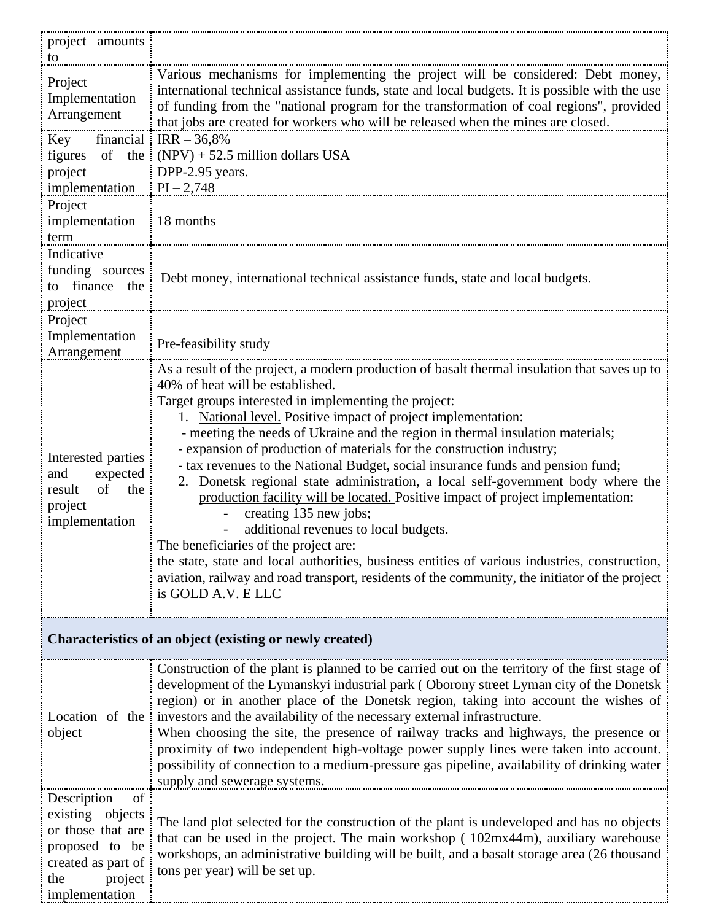| project amounts                                                                                                                                     |                                                                                                                                                                                                                                                                                                                                                                                                                                                                                                                                                                                                                                                                                                                                                                                                                                                                                                                                                                                                                        |  |
|-----------------------------------------------------------------------------------------------------------------------------------------------------|------------------------------------------------------------------------------------------------------------------------------------------------------------------------------------------------------------------------------------------------------------------------------------------------------------------------------------------------------------------------------------------------------------------------------------------------------------------------------------------------------------------------------------------------------------------------------------------------------------------------------------------------------------------------------------------------------------------------------------------------------------------------------------------------------------------------------------------------------------------------------------------------------------------------------------------------------------------------------------------------------------------------|--|
| to<br>Project<br>Implementation<br>Arrangement                                                                                                      | Various mechanisms for implementing the project will be considered: Debt money,<br>international technical assistance funds, state and local budgets. It is possible with the use<br>of funding from the "national program for the transformation of coal regions", provided<br>that jobs are created for workers who will be released when the mines are closed.                                                                                                                                                                                                                                                                                                                                                                                                                                                                                                                                                                                                                                                      |  |
| Key financial $\text{IRR} - 36,8\%$<br>figures of the<br>project<br>implementation $\vert$ PI - 2,748                                               | $(NPV) + 52.5$ million dollars USA<br>DPP-2.95 years.                                                                                                                                                                                                                                                                                                                                                                                                                                                                                                                                                                                                                                                                                                                                                                                                                                                                                                                                                                  |  |
| Project<br>implementation<br>term                                                                                                                   | 18 months                                                                                                                                                                                                                                                                                                                                                                                                                                                                                                                                                                                                                                                                                                                                                                                                                                                                                                                                                                                                              |  |
| Indicative<br>funding sources<br>to finance the<br>project                                                                                          | Debt money, international technical assistance funds, state and local budgets.                                                                                                                                                                                                                                                                                                                                                                                                                                                                                                                                                                                                                                                                                                                                                                                                                                                                                                                                         |  |
| Project<br>Implementation<br>Arrangement                                                                                                            | Pre-feasibility study                                                                                                                                                                                                                                                                                                                                                                                                                                                                                                                                                                                                                                                                                                                                                                                                                                                                                                                                                                                                  |  |
| Interested parties<br>expected<br>and<br>of<br>the<br>result<br>project<br>implementation                                                           | As a result of the project, a modern production of basalt thermal insulation that saves up to<br>40% of heat will be established.<br>Target groups interested in implementing the project:<br>1. National level. Positive impact of project implementation:<br>- meeting the needs of Ukraine and the region in thermal insulation materials;<br>- expansion of production of materials for the construction industry;<br>- tax revenues to the National Budget, social insurance funds and pension fund;<br>2. Donetsk regional state administration, a local self-government body where the<br>production facility will be located. Positive impact of project implementation:<br>creating 135 new jobs;<br>additional revenues to local budgets.<br>The beneficiaries of the project are:<br>the state, state and local authorities, business entities of various industries, construction,<br>aviation, railway and road transport, residents of the community, the initiator of the project<br>is GOLD A.V. E LLC |  |
| Characteristics of an object (existing or newly created)                                                                                            |                                                                                                                                                                                                                                                                                                                                                                                                                                                                                                                                                                                                                                                                                                                                                                                                                                                                                                                                                                                                                        |  |
| Location of the i<br>object<br>Description<br>of<br>existing objects<br>or those that are<br>proposed to be<br>created as part of<br>the<br>project | Construction of the plant is planned to be carried out on the territory of the first stage of<br>development of the Lymanskyi industrial park (Oborony street Lyman city of the Donetsk<br>region) or in another place of the Donetsk region, taking into account the wishes of<br>investors and the availability of the necessary external infrastructure.<br>When choosing the site, the presence of railway tracks and highways, the presence or<br>proximity of two independent high-voltage power supply lines were taken into account.<br>possibility of connection to a medium-pressure gas pipeline, availability of drinking water<br>supply and sewerage systems.<br>The land plot selected for the construction of the plant is undeveloped and has no objects<br>that can be used in the project. The main workshop (102mx44m), auxiliary warehouse<br>workshops, an administrative building will be built, and a basalt storage area (26 thousand<br>tons per year) will be set up.                       |  |
| implementation                                                                                                                                      |                                                                                                                                                                                                                                                                                                                                                                                                                                                                                                                                                                                                                                                                                                                                                                                                                                                                                                                                                                                                                        |  |